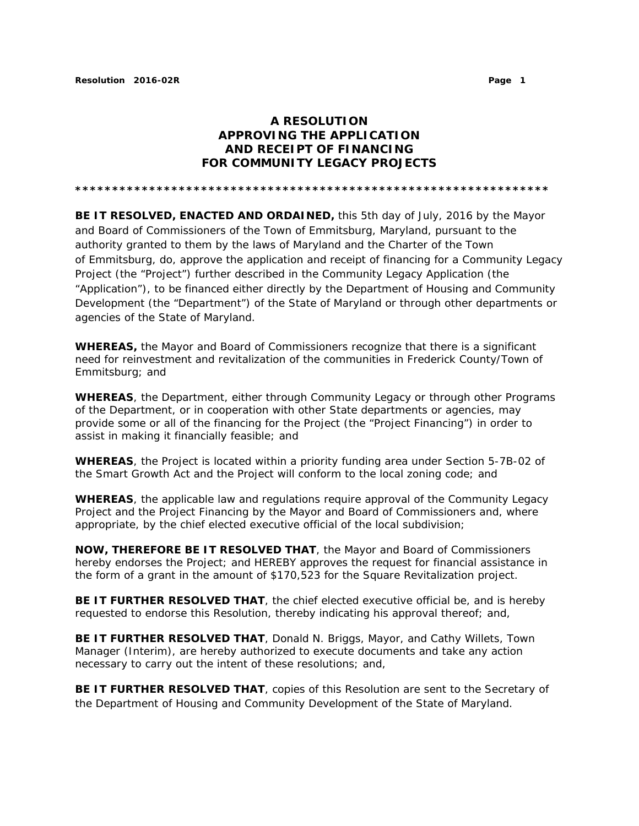## **A RESOLUTION APPROVING THE APPLICATION AND RECEIPT OF FINANCING FOR COMMUNITY LEGACY PROJECTS**

**\*\*\*\*\*\*\*\*\*\*\*\*\*\*\*\*\*\*\*\*\*\*\*\*\*\*\*\*\*\*\*\*\*\*\*\*\*\*\*\*\*\*\*\*\*\*\*\*\*\*\*\*\*\*\*\*\*\*\*\*\*\*\*\*** 

**BE IT RESOLVED, ENACTED AND ORDAINED,** this 5th day of July, 2016 by the Mayor and Board of Commissioners of the Town of Emmitsburg, Maryland, pursuant to the authority granted to them by the laws of Maryland and the Charter of the Town of Emmitsburg, do, approve the application and receipt of financing for a Community Legacy Project (the "Project") further described in the Community Legacy Application (the "Application"), to be financed either directly by the Department of Housing and Community Development (the "Department") of the State of Maryland or through other departments or agencies of the State of Maryland.

**WHEREAS,** the Mayor and Board of Commissioners recognize that there is a significant need for reinvestment and revitalization of the communities in Frederick County/Town of Emmitsburg; and

**WHEREAS**, the Department, either through Community Legacy or through other Programs of the Department, or in cooperation with other State departments or agencies, may provide some or all of the financing for the Project (the "Project Financing") in order to assist in making it financially feasible; and

**WHEREAS**, the Project is located within a priority funding area under Section 5-7B-02 of the Smart Growth Act and the Project will conform to the local zoning code; and

**WHEREAS**, the applicable law and regulations require approval of the Community Legacy Project and the Project Financing by the Mayor and Board of Commissioners and, where appropriate, by the chief elected executive official of the local subdivision;

**NOW, THEREFORE BE IT RESOLVED THAT**, the Mayor and Board of Commissioners hereby endorses the Project; and HEREBY approves the request for financial assistance in the form of a grant in the amount of \$170,523 for the Square Revitalization project.

**BE IT FURTHER RESOLVED THAT**, the chief elected executive official be, and is hereby requested to endorse this Resolution, thereby indicating his approval thereof; and,

**BE IT FURTHER RESOLVED THAT**, Donald N. Briggs, Mayor, and Cathy Willets, Town Manager (Interim), are hereby authorized to execute documents and take any action necessary to carry out the intent of these resolutions; and,

**BE IT FURTHER RESOLVED THAT**, copies of this Resolution are sent to the Secretary of the Department of Housing and Community Development of the State of Maryland.